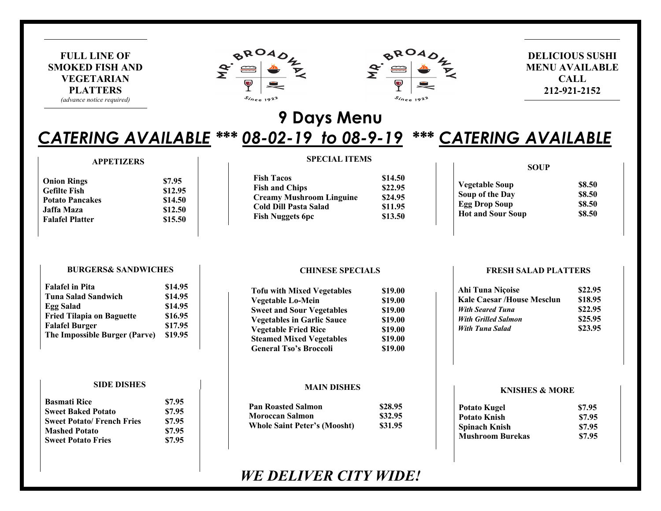





## **DELICIOUS SUSHI MENU AVAILABLE CALL** 212-921-2152

# 9 Days Menu

# **CATERING AVAILABLE \*\*\* 08-02-19 to 08-9-19 \*\*\* CATERING AVAILABLE**

#### **APPETIZERS**

| <b>Onion Rings</b>     | \$7.95  |
|------------------------|---------|
| <b>Gefilte Fish</b>    | \$12.95 |
| <b>Potato Pancakes</b> | \$14.50 |
| Jaffa Maza             | \$12.50 |
| <b>Falafel Platter</b> | \$15.50 |

#### **SPECIAL ITEMS**

| <b>Fish Tacos</b>               | \$14.50 |
|---------------------------------|---------|
| <b>Fish and Chips</b>           | \$22.95 |
| <b>Creamy Mushroom Linguine</b> | \$24.95 |
| Cold Dill Pasta Salad           | \$11.95 |
| <b>Fish Nuggets 6pc</b>         | \$13.50 |

#### **SOUP**

| \$8.50 |
|--------|
| \$8.50 |
| \$8.50 |
| \$8.50 |
|        |

#### **BURGERS& SANDWICHES**

| \$14.95 |
|---------|
| \$14.95 |
| \$14.95 |
| \$16.95 |
| \$17.95 |
| \$19.95 |
|         |

#### **SIDE DISHES**

| <b>Basmati Rice</b>              | \$7.95 |
|----------------------------------|--------|
| <b>Sweet Baked Potato</b>        | \$7.95 |
| <b>Sweet Potato/French Fries</b> | \$7.95 |
| <b>Mashed Potato</b>             | \$7.95 |
| <b>Sweet Potato Fries</b>        | \$7.95 |

#### **CHINESE SPECIALS**

| <b>Tofu with Mixed Vegetables</b> | \$19.00 |
|-----------------------------------|---------|
| <b>Vegetable Lo-Mein</b>          | \$19.00 |
| <b>Sweet and Sour Vegetables</b>  | \$19.00 |
| <b>Vegetables in Garlic Sauce</b> | \$19.00 |
| <b>Vegetable Fried Rice</b>       | \$19.00 |
| <b>Steamed Mixed Vegetables</b>   | \$19.00 |
| <b>General Tso's Broccoli</b>     | \$19.00 |

#### **MAIN DISHES**

| <b>Pan Roasted Salmon</b>           | \$28.95 |
|-------------------------------------|---------|
| <b>Moroccan Salmon</b>              | \$32.95 |
| <b>Whole Saint Peter's (Moosht)</b> | \$31.95 |

# **WE DELIVER CITY WIDE!**

#### **FRESH SALAD PLATTERS**

| Ahi Tuna Nicoise                  | \$22.95 |
|-----------------------------------|---------|
| <b>Kale Caesar /House Mesclun</b> | \$18.95 |
| <b>With Seared Tuna</b>           | \$22.95 |
| <b>With Grilled Salmon</b>        | \$25.95 |
| <b>With Tuna Salad</b>            | \$23.95 |
|                                   |         |

#### **KNISHES & MORE**

| <b>Potato Kugel</b>     | \$7.95 |
|-------------------------|--------|
| Potato Knish            | \$7.95 |
| Spinach Knish           | \$7.95 |
| <b>Mushroom Burekas</b> | \$7.95 |